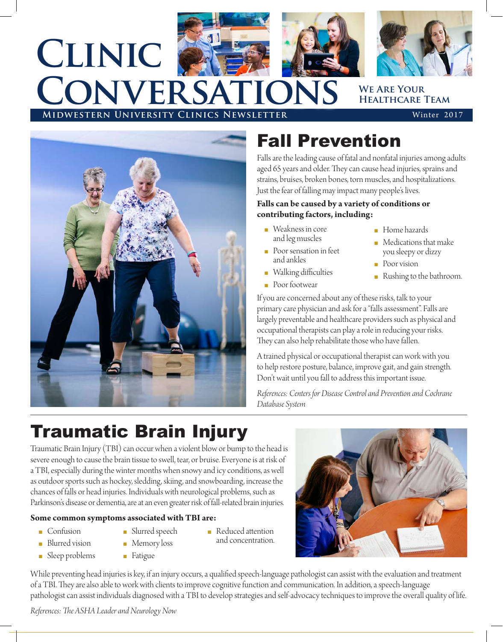

# **Clinic Conversations**



**WE ARE YOUR Healthcare Team**

**MIDWESTERN UNIVERSITY CLINICS NEWSLETTER** Winter 2017



### Fall Prevention

Falls are the leading cause of fatal and nonfatal injuries among adults aged 65 years and older. They can cause head injuries, sprains and strains, bruises, broken bones, torn muscles, and hospitalizations. Just the fear of falling may impact many people's lives.

#### **Falls can be caused by a variety of conditions or contributing factors, including:**

- $\blacksquare$  Weakness in core and leg muscles
- n Poor sensation in feet and ankles
- **Nalking difficulties**
- **Poor footwear**
- Home hazards
- $\blacksquare$  Medications that make you sleepy or dizzy
- **n** Poor vision
- <sup>n</sup> Rushing to the bathroom.

If you are concerned about any of these risks, talk to your primary care physician and ask for a "falls assessment". Falls are largely preventable and healthcare providers such as physical and occupational therapists can play a role in reducing your risks. They can also help rehabilitate those who have fallen.

A trained physical or occupational therapist can work with you to help restore posture, balance, improve gait, and gain strength. Don't wait until you fall to address this important issue.

*References: Centers for Disease Control and Prevention and Cochrane Database System*

## Traumatic Brain Injury

Traumatic Brain Injury (TBI) can occur when a violent blow or bump to the head is severe enough to cause the brain tissue to swell, tear, or bruise. Everyone is at risk of a TBI, especially during the winter months when snowy and icy conditions, as well as outdoor sports such as hockey, sledding, skiing, and snowboarding, increase the chances of falls or head injuries. Individuals with neurological problems, such as Parkinson's disease or dementia, are at an even greater risk of fall-related brain injuries.

#### **Some common symptoms associated with TBI are:**

- <sup>n</sup> Confusion
- **n** Blurred vision
- **n** Memory loss
- and concentration.
- $\blacksquare$  Sleep problems
- **n** Fatigue

**n** Slurred speech

- **n** Reduced attention
- While preventing head injuries is key, if an injury occurs, a qualified speech-language pathologist can assist with the evaluation and treatment of a TBI. They are also able to work with clients to improve cognitive function and communication. In addition, a speech-language pathologist can assist individuals diagnosed with a TBI to develop strategies and self-advocacy techniques to improve the overall quality of life.

*References: The ASHA Leader and Neurology Now*